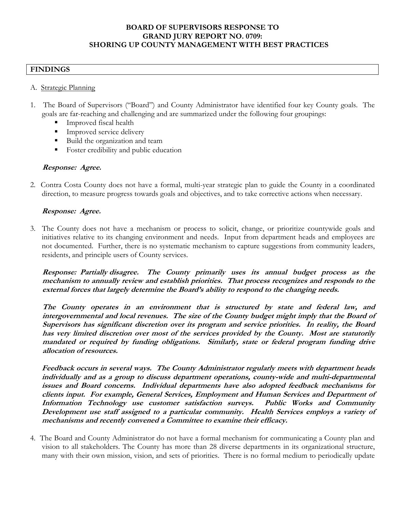#### **BOARD OF SUPERVISORS RESPONSE TO GRAND JURY REPORT NO. 0709: SHORING UP COUNTY MANAGEMENT WITH BEST PRACTICES**

### **FINDINGS**

#### A. Strategic Planning

- 1. The Board of Supervisors ("Board") and County Administrator have identified four key County goals. The goals are far-reaching and challenging and are summarized under the following four groupings:
	- Improved fiscal health
	- Improved service delivery
	- Build the organization and team
	- Foster credibility and public education

#### **Response: Agree.**

2. Contra Costa County does not have a formal, multi-year strategic plan to guide the County in a coordinated direction, to measure progress towards goals and objectives, and to take corrective actions when necessary.

#### **Response: Agree.**

3. The County does not have a mechanism or process to solicit, change, or prioritize countywide goals and initiatives relative to its changing environment and needs. Input from department heads and employees are not documented. Further, there is no systematic mechanism to capture suggestions from community leaders, residents, and principle users of County services.

**Response: Partially disagree. The County primarily uses its annual budget process as the mechanism to annually review and establish priorities. That process recognizes and responds to the external forces that largely determine the Board's ability to respond to the changing needs.**

**The County operates in an environment that is structured by state and federal law, and intergovernmental and local revenues. The size of the County budget might imply that the Board of Supervisors has significant discretion over its program and service priorities. In reality, the Board has very limited discretion over most of the services provided by the County. Most are statutorily mandated or required by funding obligations. Similarly, state or federal program funding drive allocation of resources.** 

 **Feedback occurs in several ways. The County Administrator regularly meets with department heads individually and as a group to discuss department operations, county-wide and multi-departmental issues and Board concerns. Individual departments have also adopted feedback mechanisms for clients input. For example, General Services, Employment and Human Services and Department of Information Technology use customer satisfaction surveys. Public Works and Community Development use staff assigned to a particular community. Health Services employs a variety of mechanisms and recently convened a Committee to examine their efficacy.** 

4. The Board and County Administrator do not have a formal mechanism for communicating a County plan and vision to all stakeholders. The County has more than 28 diverse departments in its organizational structure, many with their own mission, vision, and sets of priorities. There is no formal medium to periodically update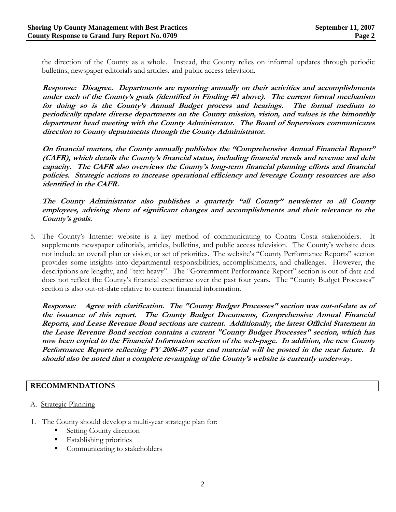the direction of the County as a whole. Instead, the County relies on informal updates through periodic bulletins, newspaper editorials and articles, and public access television.

**Response: Disagree. Departments are reporting annually on their activities and accomplishments under each of the County's goals (identified in Finding #1 above). The current formal mechanism for doing so is the County's Annual Budget process and hearings. The formal medium to periodically update diverse departments on the County mission, vision, and values is the bimonthly department head meeting with the County Administrator. The Board of Supervisors communicates direction to County departments through the County Administrator.** 

**On financial matters, the County annually publishes the "Comprehensive Annual Financial Report" (CAFR), which details the County's financial status, including financial trends and revenue and debt capacity. The CAFR also overviews the County's long-term financial planning efforts and financial policies. Strategic actions to increase operational efficiency and leverage County resources are also identified in the CAFR.** 

**The County Administrator also publishes a quarterly "all County" newsletter to all County employees, advising them of significant changes and accomplishments and their relevance to the County's goals.** 

5. The County's Internet website is a key method of communicating to Contra Costa stakeholders. It supplements newspaper editorials, articles, bulletins, and public access television. The County's website does not include an overall plan or vision, or set of priorities. The website's "County Performance Reports" section provides some insights into departmental responsibilities, accomplishments, and challenges. However, the descriptions are lengthy, and "text heavy". The "Government Performance Report" section is out-of-date and does not reflect the County's financial experience over the past four years. The "County Budget Processes" section is also out-of-date relative to current financial information.

**Response:****Agree with clarification. The "County Budget Processes" section was out-of-date as of the issuance of this report. The County Budget Documents, Comprehensive Annual Financial Reports, and Lease Revenue Bond sections are current. Additionally, the latest Official Statement in the Lease Revenue Bond section contains a current "County Budget Processes" section, which has now been copied to the Financial Information section of the web-page. In addition, the new County Performance Reports reflecting FY 2006-07 year end material will be posted in the near future. It should also be noted that a complete revamping of the County's website is currently underway.** 

# **RECOMMENDATIONS**

- A. Strategic Planning
- 1. The County should develop a multi-year strategic plan for:
	- Setting County direction
	- **Establishing priorities**
	- Communicating to stakeholders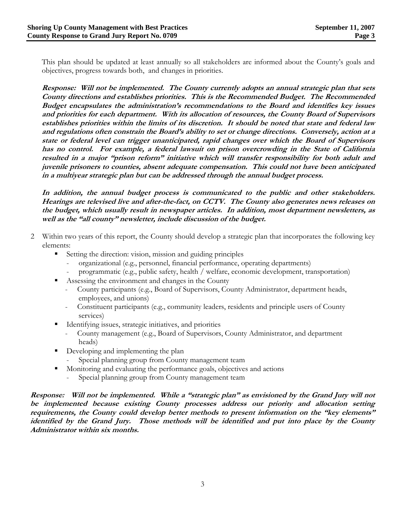This plan should be updated at least annually so all stakeholders are informed about the County's goals and objectives, progress towards both, and changes in priorities.

**Response: Will not be implemented. The County currently adopts an annual strategic plan that sets County directions and establishes priorities. This is the Recommended Budget. The Recommended Budget encapsulates the administration's recommendations to the Board and identifies key issues and priorities for each department. With its allocation of resources, the County Board of Supervisors establishes priorities within the limits of its discretion. It should be noted that state and federal law and regulations often constrain the Board's ability to set or change directions. Conversely, action at a state or federal level can trigger unanticipated, rapid changes over which the Board of Supervisors has no control. For example, a federal lawsuit on prison overcrowding in the State of California resulted in a major "prison reform" initiative which will transfer responsibility for both adult and juvenile prisoners to counties, absent adequate compensation. This could not have been anticipated in a multiyear strategic plan but can be addressed through the annual budget process.** 

**In addition, the annual budget process is communicated to the public and other stakeholders. Hearings are televised live and after-the-fact, on CCTV. The County also generates news releases on the budget, which usually result in newspaper articles. In addition, most department newsletters, as well as the "all county" newsletter, include discussion of the budget.** 

- 2 Within two years of this report, the County should develop a strategic plan that incorporates the following key elements:
	- Setting the direction: vision, mission and guiding principles
		- organizational (e.g., personnel, financial performance, operating departments)
		- programmatic (e.g., public safety, health / welfare, economic development, transportation)
	- Assessing the environment and changes in the County
		- County participants (e.g., Board of Supervisors, County Administrator, department heads, employees, and unions)
		- Constituent participants (e.g., community leaders, residents and principle users of County services)
	- Identifying issues, strategic initiatives, and priorities
		- County management (e.g., Board of Supervisors, County Administrator, and department heads)
	- Developing and implementing the plan
		- Special planning group from County management team
	- Monitoring and evaluating the performance goals, objectives and actions
		- Special planning group from County management team

**Response: Will not be implemented. While a "strategic plan" as envisioned by the Grand Jury will not be implemented because existing County processes address our priority and allocation setting requirements, the County could develop better methods to present information on the "key elements" identified by the Grand Jury. Those methods will be identified and put into place by the County Administrator within six months.**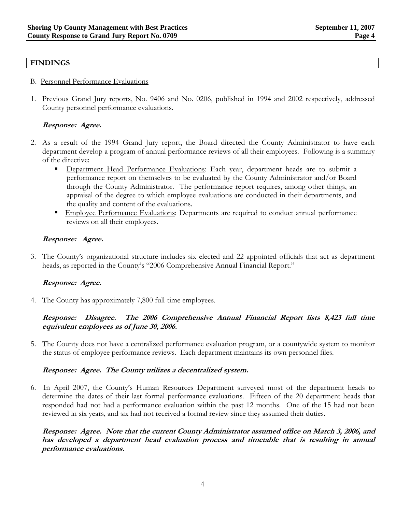#### **FINDINGS**

- B. Personnel Performance Evaluations
- 1. Previous Grand Jury reports, No. 9406 and No. 0206, published in 1994 and 2002 respectively, addressed County personnel performance evaluations.

# **Response: Agree.**

- 2. As a result of the 1994 Grand Jury report, the Board directed the County Administrator to have each department develop a program of annual performance reviews of all their employees. Following is a summary of the directive:
	- Department Head Performance Evaluations: Each year, department heads are to submit a performance report on themselves to be evaluated by the County Administrator and/or Board through the County Administrator. The performance report requires, among other things, an appraisal of the degree to which employee evaluations are conducted in their departments, and the quality and content of the evaluations.
	- **Employee Performance Evaluations: Departments are required to conduct annual performance** reviews on all their employees.

#### **Response:****Agree.**

3. The County's organizational structure includes six elected and 22 appointed officials that act as department heads, as reported in the County's "2006 Comprehensive Annual Financial Report."

#### **Response: Agree.**

4. The County has approximately 7,800 full-time employees.

### **Response: Disagree. The 2006 Comprehensive Annual Financial Report lists 8,423 full time equivalent employees as of June 30, 2006.**

5. The County does not have a centralized performance evaluation program, or a countywide system to monitor the status of employee performance reviews. Each department maintains its own personnel files.

#### **Response: Agree. The County utilizes a decentralized system.**

6. In April 2007, the County's Human Resources Department surveyed most of the department heads to determine the dates of their last formal performance evaluations. Fifteen of the 20 department heads that responded had not had a performance evaluation within the past 12 months. One of the 15 had not been reviewed in six years, and six had not received a formal review since they assumed their duties.

**Response: Agree. Note that the current County Administrator assumed office on March 3, 2006, and has developed a department head evaluation process and timetable that is resulting in annual performance evaluations.**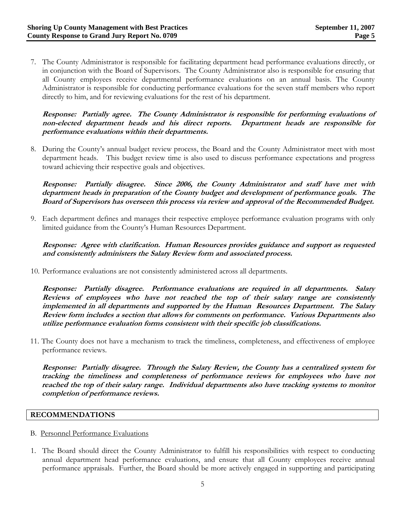7. The County Administrator is responsible for facilitating department head performance evaluations directly, or in conjunction with the Board of Supervisors. The County Administrator also is responsible for ensuring that all County employees receive departmental performance evaluations on an annual basis. The County Administrator is responsible for conducting performance evaluations for the seven staff members who report directly to him, and for reviewing evaluations for the rest of his department.

**Response: Partially agree. The County Administrator is responsible for performing evaluations of non-elected department heads and his direct reports. Department heads are responsible for performance evaluations within their departments.**

8. During the County's annual budget review process, the Board and the County Administrator meet with most department heads. This budget review time is also used to discuss performance expectations and progress toward achieving their respective goals and objectives.

**Response: Partially disagree. Since 2006, the County Administrator and staff have met with department heads in preparation of the County budget and development of performance goals. The Board of Supervisors has overseen this process via review and approval of the Recommended Budget.**

9. Each department defines and manages their respective employee performance evaluation programs with only limited guidance from the County's Human Resources Department.

**Response: Agree with clarification. Human Resources provides guidance and support as requested and consistently administers the Salary Review form and associated process.** 

10. Performance evaluations are not consistently administered across all departments.

**Response: Partially disagree. Performance evaluations are required in all departments. Salary Reviews of employees who have not reached the top of their salary range are consistently implemented in all departments and supported by the Human Resources Department. The Salary Review form includes a section that allows for comments on performance. Various Departments also utilize performance evaluation forms consistent with their specific job classifications.** 

11. The County does not have a mechanism to track the timeliness, completeness, and effectiveness of employee performance reviews.

**Response: Partially disagree. Through the Salary Review, the County has a centralized system for tracking the timeliness and completeness of performance reviews for employees who have not reached the top of their salary range. Individual departments also have tracking systems to monitor completion of performance reviews.** 

#### **RECOMMENDATIONS**

- B. Personnel Performance Evaluations
- 1. The Board should direct the County Administrator to fulfill his responsibilities with respect to conducting annual department head performance evaluations, and ensure that all County employees receive annual performance appraisals. Further, the Board should be more actively engaged in supporting and participating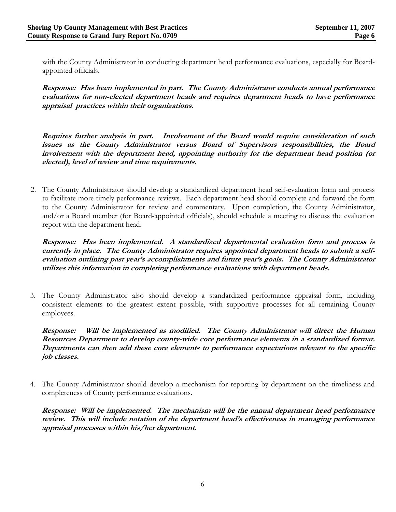with the County Administrator in conducting department head performance evaluations, especially for Boardappointed officials.

**Response: Has been implemented in part. The County Administrator conducts annual performance evaluations for non-elected department heads and requires department heads to have performance appraisal practices within their organizations.** 

**Requires further analysis in part. Involvement of the Board would require consideration of such issues as the County Administrator versus Board of Supervisors responsibilities, the Board involvement with the department head, appointing authority for the department head position (or elected), level of review and time requirements.** 

2. The County Administrator should develop a standardized department head self-evaluation form and process to facilitate more timely performance reviews. Each department head should complete and forward the form to the County Administrator for review and commentary. Upon completion, the County Administrator, and/or a Board member (for Board-appointed officials), should schedule a meeting to discuss the evaluation report with the department head.

**Response: Has been implemented. A standardized departmental evaluation form and process is currently in place. The County Administrator requires appointed department heads to submit a selfevaluation outlining past year's accomplishments and future year's goals. The County Administrator utilizes this information in completing performance evaluations with department heads.** 

3. The County Administrator also should develop a standardized performance appraisal form, including consistent elements to the greatest extent possible, with supportive processes for all remaining County employees.

**Response: Will be implemented as modified. The County Administrator will direct the Human Resources Department to develop county-wide core performance elements in a standardized format. Departments can then add these core elements to performance expectations relevant to the specific job classes.** 

4. The County Administrator should develop a mechanism for reporting by department on the timeliness and completeness of County performance evaluations.

**Response: Will be implemented. The mechanism will be the annual department head performance review. This will include notation of the department head's effectiveness in managing performance appraisal processes within his/her department.**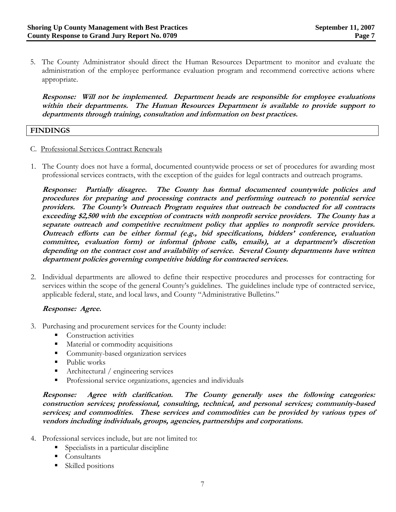5. The County Administrator should direct the Human Resources Department to monitor and evaluate the administration of the employee performance evaluation program and recommend corrective actions where appropriate.

**Response: Will not be implemented. Department heads are responsible for employee evaluations within their departments. The Human Resources Department is available to provide support to departments through training, consultation and information on best practices.** 

#### **FINDINGS**

- C. Professional Services Contract Renewals
- 1. The County does not have a formal, documented countywide process or set of procedures for awarding most professional services contracts, with the exception of the guides for legal contracts and outreach programs.

**Response: Partially disagree. The County has formal documented countywide policies and procedures for preparing and processing contracts and performing outreach to potential service providers. The County's Outreach Program requires that outreach be conducted for all contracts exceeding \$2,500 with the exception of contracts with nonprofit service providers. The County has a separate outreach and competitive recruitment policy that applies to nonprofit service providers. Outreach efforts can be either formal (e.g., bid specifications, bidders' conference, evaluation committee, evaluation form) or informal (phone calls, emails), at a department's discretion depending on the contract cost and availability of service. Several County departments have written department policies governing competitive bidding for contracted services.**

2. Individual departments are allowed to define their respective procedures and processes for contracting for services within the scope of the general County's guidelines. The guidelines include type of contracted service, applicable federal, state, and local laws, and County "Administrative Bulletins."

#### **Response: Agree.**

- 3. Purchasing and procurement services for the County include:
	- Construction activities
	- **Material or commodity acquisitions**
	- Community-based organization services
	- Public works
	- Architectural / engineering services
	- **Professional service organizations, agencies and individuals**

**Response: Agree with clarification. The County generally uses the following categories: construction services; professional, consulting, technical, and personal services; community-based services; and commodities. These services and commodities can be provided by various types of vendors including individuals, groups, agencies, partnerships and corporations.**

- 4. Professional services include, but are not limited to:
	- Specialists in a particular discipline
	- Consultants
	- Skilled positions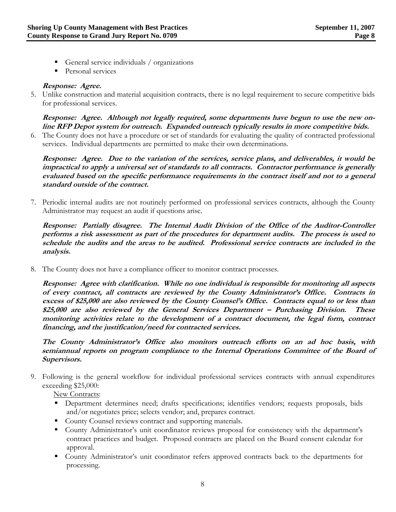- General service individuals / organizations
- **Personal services**

### **Response: Agree.**

5. Unlike construction and material acquisition contracts, there is no legal requirement to secure competitive bids for professional services.

### **Response: Agree. Although not legally required, some departments have begun to use the new online RFP Depot system for outreach. Expanded outreach typically results in more competitive bids.**

6. The County does not have a procedure or set of standards for evaluating the quality of contracted professional services. Individual departments are permitted to make their own determinations.

**Response: Agree. Due to the variation of the services, service plans, and deliverables, it would be impractical to apply a universal set of standards to all contracts. Contractor performance is generally evaluated based on the specific performance requirements in the contract itself and not to a general standard outside of the contract.**

7. Periodic internal audits are not routinely performed on professional services contracts, although the County Administrator may request an audit if questions arise.

 **Response: Partially disagree. The Internal Audit Division of the Office of the Auditor-Controller performs a risk assessment as part of the procedures for department audits. The process is used to schedule the audits and the areas to be audited. Professional service contracts are included in the analysis.** 

8. The County does not have a compliance officer to monitor contract processes.

**Response: Agree with clarification. While no one individual is responsible for monitoring all aspects of every contract, all contracts are reviewed by the County Administrator's Office. Contracts in excess of \$25,000 are also reviewed by the County Counsel's Office. Contracts equal to or less than \$25,000 are also reviewed by the General Services Department – Purchasing Division. These monitoring activities relate to the development of a contract document, the legal form, contract financing, and the justification/need for contracted services.** 

 **The County Administrator's Office also monitors outreach efforts on an ad hoc basis, with semiannual reports on program compliance to the Internal Operations Committee of the Board of Supervisors.** 

9. Following is the general workflow for individual professional services contracts with annual expenditures exceeding \$25,000:

New Contracts:

- **•** Department determines need; drafts specifications; identifies vendors; requests proposals, bids and/or negotiates price; selects vendor; and, prepares contract.
- County Counsel reviews contract and supporting materials.
- County Administrator's unit coordinator reviews proposal for consistency with the department's contract practices and budget. Proposed contracts are placed on the Board consent calendar for approval.
- County Administrator's unit coordinator refers approved contracts back to the departments for processing.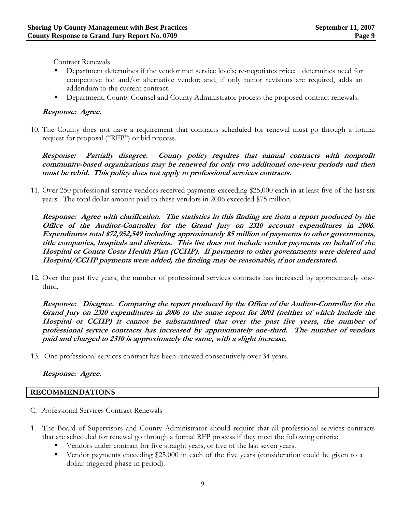Contract Renewals

- Department determines if the vendor met service levels; re-negotiates price; determines need for competitive bid and/or alternative vendor; and, if only minor revisions are required, adds an addendum to the current contract.
- **•** Department, County Counsel and County Administrator process the proposed contract renewals.

### **Response: Agree.**

10. The County does not have a requirement that contracts scheduled for renewal must go through a formal request for proposal ("RFP") or bid process.

**Response: Partially disagree. County policy requires that annual contracts with nonprofit community-based organizations may be renewed for only two additional one-year periods and then must be rebid. This policy does not apply to professional services contracts.**

11. Over 250 professional service vendors received payments exceeding \$25,000 each in at least five of the last six years. The total dollar amount paid to these vendors in 2006 exceeded \$75 million.

**Response: Agree with clarification. The statistics in this finding are from a report produced by the Office of the Auditor-Controller for the Grand Jury on 2310 account expenditures in 2006. Expenditures total \$72,952,549 including approximately \$5 million of payments to other governments, title companies, hospitals and districts. This list does not include vendor payments on behalf of the Hospital or Contra Costa Health Plan (CCHP). If payments to other governments were deleted and Hospital/CCHP payments were added, the finding may be reasonable, if not understated.**

12. Over the past five years, the number of professional services contracts has increased by approximately onethird.

 **Response: Disagree. Comparing the report produced by the Office of the Auditor-Controller for the Grand Jury on 2310 expenditures in 2006 to the same report for 2001 (neither of which include the Hospital or CCHP) it cannot be substantiated that over the past five years, the number of professional service contracts has increased by approximately one-third. The number of vendors paid and charged to 2310 is approximately the same, with a slight increase.**

13. One professional services contract has been renewed consecutively over 34 years.

#### **Response: Agree.**

#### **RECOMMENDATIONS**

- C. Professional Services Contract Renewals
- 1. The Board of Supervisors and County Administrator should require that all professional services contracts that are scheduled for renewal go through a formal RFP process if they meet the following criteria:
	- Vendors under contract for five straight years, or five of the last seven years.
	- Vendor payments exceeding \$25,000 in each of the five years (consideration could be given to a dollar-triggered phase-in period).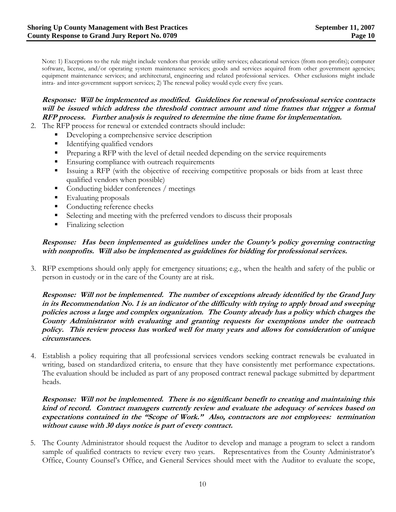Note: 1) Exceptions to the rule might include vendors that provide utility services; educational services (from non-profits); computer software, license, and/or operating system maintenance services; goods and services acquired from other government agencies; equipment maintenance services; and architectural, engineering and related professional services. Other exclusions might include intra- and inter-government support services; 2) The renewal policy would cycle every five years.

# **Response: Will be implemented as modified. Guidelines for renewal of professional service contracts will be issued which address the threshold contract amount and time frames that trigger a formal RFP process. Further analysis is required to determine the time frame for implementation.**

- 2. The RFP process for renewal or extended contracts should include:
	- Developing a comprehensive service description
	- Identifying qualified vendors
	- **Preparing a RFP** with the level of detail needed depending on the service requirements
	- **Ensuring compliance with outreach requirements**
	- Issuing a RFP (with the objective of receiving competitive proposals or bids from at least three qualified vendors when possible)
	- **Conducting bidder conferences** / meetings
	- Evaluating proposals
	- Conducting reference checks
	- Selecting and meeting with the preferred vendors to discuss their proposals
	- Finalizing selection

### **Response: Has been implemented as guidelines under the County's policy governing contracting with nonprofits. Will also be implemented as guidelines for bidding for professional services.**

3. RFP exemptions should only apply for emergency situations; e.g., when the health and safety of the public or person in custody or in the care of the County are at risk.

**Response: Will not be implemented. The number of exceptions already identified by the Grand Jury in its Recommendation No. 1 is an indicator of the difficulty with trying to apply broad and sweeping policies across a large and complex organization. The County already has a policy which charges the County Administrator with evaluating and granting requests for exemptions under the outreach policy. This review process has worked well for many years and allows for consideration of unique circumstances.** 

4. Establish a policy requiring that all professional services vendors seeking contract renewals be evaluated in writing, based on standardized criteria, to ensure that they have consistently met performance expectations. The evaluation should be included as part of any proposed contract renewal package submitted by department heads.

#### **Response: Will not be implemented. There is no significant benefit to creating and maintaining this kind of record. Contract managers currently review and evaluate the adequacy of services based on expectations contained in the "Scope of Work." Also, contractors are not employees: termination without cause with 30 days notice is part of every contract.**

5. The County Administrator should request the Auditor to develop and manage a program to select a random sample of qualified contracts to review every two years. Representatives from the County Administrator's Office, County Counsel's Office, and General Services should meet with the Auditor to evaluate the scope,